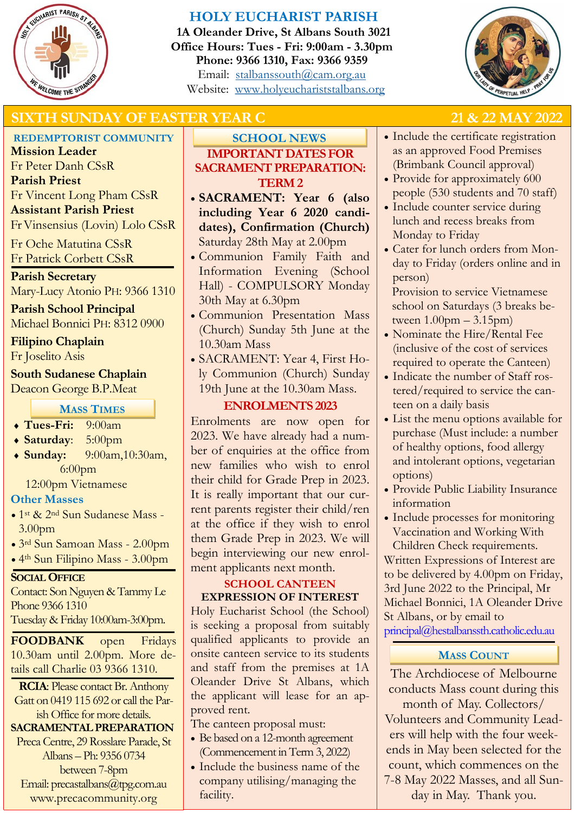

# **HOLY EUCHARIST PARISH**

**1A Oleander Drive, St Albans South 3021 Office Hours: Tues - Fri: 9:00am - 3.30pm Phone: 9366 1310, Fax: 9366 9359** Email: [stalbanssouth@cam.org.au](mailto:stalbanssouth@cam.org.au) Website:[www.holyeuchariststalbans.org](http://www.holyeuchariststalbans.org)



# **SIXTH SUNDAY OF EASTER YEAR C 21 & 22 MAY 2022**

# **REDEMPTORIST COMMUNITY**

**Mission Leader** Fr Peter Danh CSsR **Parish Priest** Fr Vincent Long Pham CSsR **Assistant Parish Priest**  Fr Vinsensius (Lovin) Lolo CSsR

Fr Oche Matutina CSsR Fr Patrick Corbett CSsR

# **Parish Secretary**

Mary-Lucy Atonio PH: 9366 1310

**Parish School Principal** Michael Bonnici PH: 8312 0900

# **Filipino Chaplain**

Fr Joselito Asis

# **South Sudanese Chaplain**

Deacon George B.P.Meat

# **MASS TIMES**

- **Tues-Fri:** 9:00am
- **Saturday**: 5:00pm
- **Sunday:** 9:00am,10:30am, 6:00pm

12:00pm Vietnamese

# **Other Masses**

- 1st & 2nd Sun Sudanese Mass 3.00pm
- 3rd Sun Samoan Mass 2.00pm
- 4th Sun Filipino Mass 3.00pm

# **SOCIAL OFFICE**

Contact: Son Nguyen & Tammy Le Phone 9366 1310 Tuesday & Friday 10:00am-3:00pm.

**FOODBANK** open Fridays 10.30am until 2.00pm. More details call Charlie 03 9366 1310.

**RCIA**: Please contact Br. Anthony Gatt on 0419 115 692 or call the Parish Office for more details.

# **SACRAMENTAL PREPARATION**

Preca Centre, 29 Rosslare Parade, St Albans – Ph: 9356 0734 between 7-8pm Email: precastalbans@tpg.com.au www.precacommunity.org

# **IMPORTANT DATES FOR SACRAMENT PREPARATION: TERM 2 SCHOOL NEWS**

- **SACRAMENT: Year 6 (also including Year 6 2020 candidates), Confirmation (Church)** Saturday 28th May at 2.00pm
- Communion Family Faith and Information Evening (School Hall) - COMPULSORY Monday 30th May at 6.30pm
- Communion Presentation Mass (Church) Sunday 5th June at the 10.30am Mass
- SACRAMENT: Year 4, First Holy Communion (Church) Sunday 19th June at the 10.30am Mass.

# **ENROLMENTS 2023**

Enrolments are now open for 2023. We have already had a number of enquiries at the office from new families who wish to enrol their child for Grade Prep in 2023. It is really important that our current parents register their child/ren at the office if they wish to enrol them Grade Prep in 2023. We will begin interviewing our new enrolment applicants next month.

## **SCHOOL CANTEEN EXPRESSION OF INTEREST**

Holy Eucharist School (the School) is seeking a proposal from suitably qualified applicants to provide an onsite canteen service to its students and staff from the premises at 1A Oleander Drive St Albans, which the applicant will lease for an approved rent.

The canteen proposal must:

- Be based on a 12-month agreement (Commencement in Term 3, 2022)
- Include the business name of the company utilising/managing the facility.

- Include the certificate registration as an approved Food Premises (Brimbank Council approval)
- Provide for approximately 600 people (530 students and 70 staff)
- Include counter service during lunch and recess breaks from Monday to Friday
- Cater for lunch orders from Monday to Friday (orders online and in person)

Provision to service Vietnamese school on Saturdays (3 breaks between  $1.00$ pm  $-3.15$ pm $)$ 

- Nominate the Hire/Rental Fee (inclusive of the cost of services required to operate the Canteen)
- Indicate the number of Staff rostered/required to service the canteen on a daily basis
- List the menu options available for purchase (Must include: a number of healthy options, food allergy and intolerant options, vegetarian options)
- Provide Public Liability Insurance information
- Include processes for monitoring Vaccination and Working With Children Check requirements.

Written Expressions of Interest are to be delivered by 4.00pm on Friday, 3rd June 2022 to the Principal, Mr Michael Bonnici, 1A Oleander Drive St Albans, or by email to principal@hestalbanssth.catholic.edu.au

# **MASS COUNT**

The Archdiocese of Melbourne conducts Mass count during this month of May. Collectors/ Volunteers and Community Leaders will help with the four weekends in May been selected for the count, which commences on the 7-8 May 2022 Masses, and all Sunday in May. Thank you.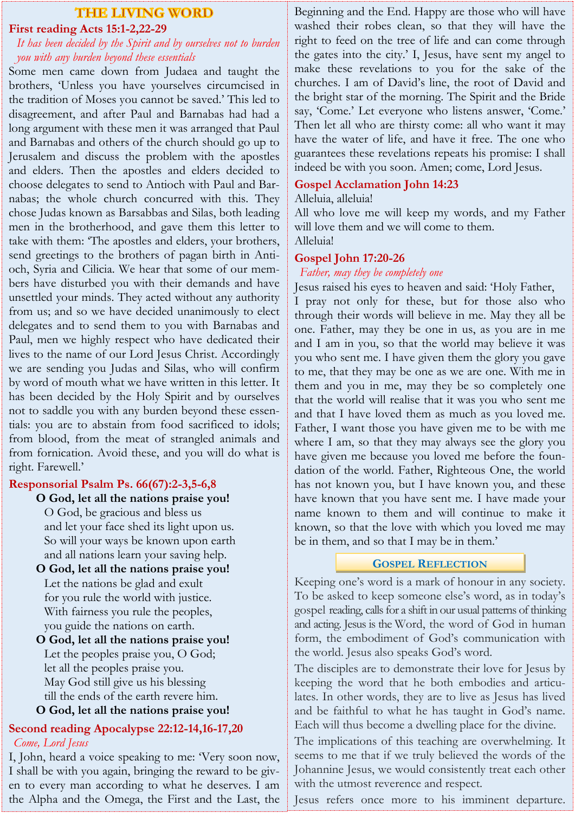# **THE LIVING WORD**

# **First reading Acts 15:1-2,22-29**

## *It has been decided by the Spirit and by ourselves not to burden you with any burden beyond these essentials*

Some men came down from Judaea and taught the brothers, 'Unless you have yourselves circumcised in the tradition of Moses you cannot be saved.' This led to disagreement, and after Paul and Barnabas had had a long argument with these men it was arranged that Paul and Barnabas and others of the church should go up to Jerusalem and discuss the problem with the apostles and elders. Then the apostles and elders decided to choose delegates to send to Antioch with Paul and Barnabas; the whole church concurred with this. They chose Judas known as Barsabbas and Silas, both leading men in the brotherhood, and gave them this letter to take with them: 'The apostles and elders, your brothers, send greetings to the brothers of pagan birth in Antioch, Syria and Cilicia. We hear that some of our members have disturbed you with their demands and have unsettled your minds. They acted without any authority from us; and so we have decided unanimously to elect delegates and to send them to you with Barnabas and Paul, men we highly respect who have dedicated their lives to the name of our Lord Jesus Christ. Accordingly we are sending you Judas and Silas, who will confirm by word of mouth what we have written in this letter. It has been decided by the Holy Spirit and by ourselves not to saddle you with any burden beyond these essentials: you are to abstain from food sacrificed to idols; from blood, from the meat of strangled animals and from fornication. Avoid these, and you will do what is right. Farewell.'

## **Responsorial Psalm Ps. 66(67):2-3,5-6,8**

**O God, let all the nations praise you!** O God, be gracious and bless us and let your face shed its light upon us. So will your ways be known upon earth and all nations learn your saving help.

**O God, let all the nations praise you!** Let the nations be glad and exult for you rule the world with justice. With fairness you rule the peoples, you guide the nations on earth.

## **O God, let all the nations praise you!** Let the peoples praise you, O God; let all the peoples praise you. May God still give us his blessing till the ends of the earth revere him. **O God, let all the nations praise you!**

# **Second reading Apocalypse 22:12-14,16-17,20** *Come, Lord Jesus*

I, John, heard a voice speaking to me: 'Very soon now, I shall be with you again, bringing the reward to be given to every man according to what he deserves. I am the Alpha and the Omega, the First and the Last, the

Beginning and the End. Happy are those who will have washed their robes clean, so that they will have the right to feed on the tree of life and can come through the gates into the city.' I, Jesus, have sent my angel to make these revelations to you for the sake of the churches. I am of David's line, the root of David and the bright star of the morning. The Spirit and the Bride say, 'Come.' Let everyone who listens answer, 'Come.' Then let all who are thirsty come: all who want it may have the water of life, and have it free. The one who guarantees these revelations repeats his promise: I shall indeed be with you soon. Amen; come, Lord Jesus.

## **Gospel Acclamation John 14:23**

Alleluia, alleluia!

All who love me will keep my words, and my Father will love them and we will come to them. Alleluia!

### **Gospel John 17:20-26**

*Father, may they be completely one*

Jesus raised his eyes to heaven and said: 'Holy Father, I pray not only for these, but for those also who through their words will believe in me. May they all be one. Father, may they be one in us, as you are in me and I am in you, so that the world may believe it was you who sent me. I have given them the glory you gave to me, that they may be one as we are one. With me in them and you in me, may they be so completely one that the world will realise that it was you who sent me and that I have loved them as much as you loved me. Father, I want those you have given me to be with me where I am, so that they may always see the glory you have given me because you loved me before the foundation of the world. Father, Righteous One, the world has not known you, but I have known you, and these have known that you have sent me. I have made your name known to them and will continue to make it known, so that the love with which you loved me may be in them, and so that I may be in them.'

### **GOSPEL REFLECTION**

Keeping one's word is a mark of honour in any society. To be asked to keep someone else's word, as in today's gospel reading, calls for a shift in our usual patterns of thinking and acting. Jesus is the Word, the word of God in human form, the embodiment of God's communication with the world. Jesus also speaks God's word.

The disciples are to demonstrate their love for Jesus by keeping the word that he both embodies and articulates. In other words, they are to live as Jesus has lived and be faithful to what he has taught in God's name. Each will thus become a dwelling place for the divine.

The implications of this teaching are overwhelming. It seems to me that if we truly believed the words of the Johannine Jesus, we would consistently treat each other with the utmost reverence and respect.

Jesus refers once more to his imminent departure.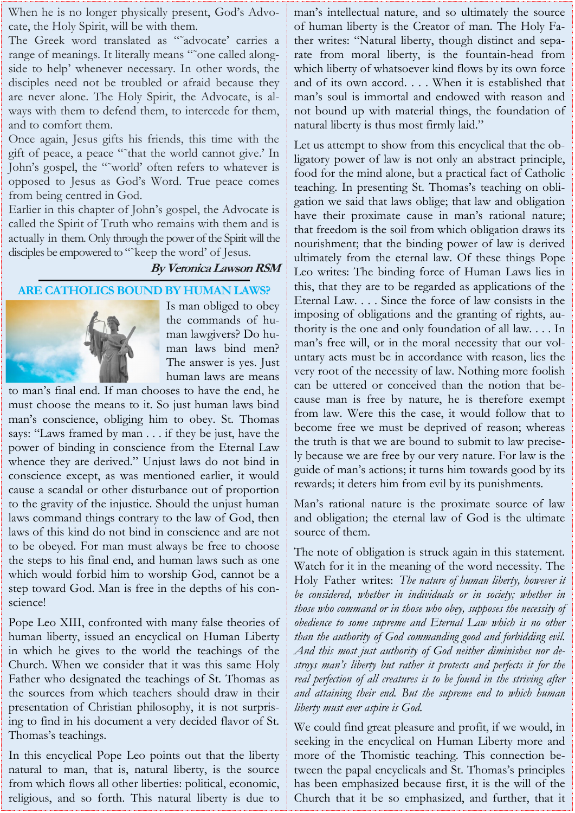When he is no longer physically present, God's Advocate, the Holy Spirit, will be with them.

The Greek word translated as "˜advocate' carries a range of meanings. It literally means "~one called alongside to help' whenever necessary. In other words, the disciples need not be troubled or afraid because they are never alone. The Holy Spirit, the Advocate, is always with them to defend them, to intercede for them, and to comfort them.

Once again, Jesus gifts his friends, this time with the gift of peace, a peace "˜that the world cannot give.' In John's gospel, the "˜world' often refers to whatever is opposed to Jesus as God's Word. True peace comes from being centred in God.

Earlier in this chapter of John's gospel, the Advocate is called the Spirit of Truth who remains with them and is actually in them. Only through the power of the Spirit will the disciples be empowered to "~keep the word' of Jesus.

# **By Veronica Lawson RSM**

## **ARE CATHOLICS BOUND BY HUMAN LAWS?**



Is man obliged to obey the commands of human lawgivers? Do human laws bind men? The answer is yes. Just human laws are means

to man's final end. If man chooses to have the end, he must choose the means to it. So just human laws bind man's conscience, obliging him to obey. St. Thomas says: "Laws framed by man . . . if they be just, have the power of binding in conscience from the Eternal Law whence they are derived." Unjust laws do not bind in conscience except, as was mentioned earlier, it would cause a scandal or other disturbance out of proportion to the gravity of the injustice. Should the unjust human laws command things contrary to the law of God, then laws of this kind do not bind in conscience and are not to be obeyed. For man must always be free to choose the steps to his final end, and human laws such as one which would forbid him to worship God, cannot be a step toward God. Man is free in the depths of his conscience!

Pope Leo XIII, confronted with many false theories of human liberty, issued an encyclical on Human Liberty in which he gives to the world the teachings of the Church. When we consider that it was this same Holy Father who designated the teachings of St. Thomas as the sources from which teachers should draw in their presentation of Christian philosophy, it is not surprising to find in his document a very decided flavor of St. Thomas's teachings.

In this encyclical Pope Leo points out that the liberty natural to man, that is, natural liberty, is the source from which flows all other liberties: political, economic, religious, and so forth. This natural liberty is due to

man's intellectual nature, and so ultimately the source of human liberty is the Creator of man. The Holy Father writes: "Natural liberty, though distinct and separate from moral liberty, is the fountain-head from which liberty of whatsoever kind flows by its own force and of its own accord. . . . When it is established that man's soul is immortal and endowed with reason and not bound up with material things, the foundation of natural liberty is thus most firmly laid."

Let us attempt to show from this encyclical that the obligatory power of law is not only an abstract principle, food for the mind alone, but a practical fact of Catholic teaching. In presenting St. Thomas's teaching on obligation we said that laws oblige; that law and obligation have their proximate cause in man's rational nature; that freedom is the soil from which obligation draws its nourishment; that the binding power of law is derived ultimately from the eternal law. Of these things Pope Leo writes: The binding force of Human Laws lies in this, that they are to be regarded as applications of the Eternal Law. . . . Since the force of law consists in the imposing of obligations and the granting of rights, authority is the one and only foundation of all law. . . . In man's free will, or in the moral necessity that our voluntary acts must be in accordance with reason, lies the very root of the necessity of law. Nothing more foolish can be uttered or conceived than the notion that because man is free by nature, he is therefore exempt from law. Were this the case, it would follow that to become free we must be deprived of reason; whereas the truth is that we are bound to submit to law precisely because we are free by our very nature. For law is the guide of man's actions; it turns him towards good by its rewards; it deters him from evil by its punishments.

Man's rational nature is the proximate source of law and obligation; the eternal law of God is the ultimate source of them.

The note of obligation is struck again in this statement. Watch for it in the meaning of the word necessity. The Holy Father writes: *The nature of human liberty, however it be considered, whether in individuals or in society; whether in those who command or in those who obey, supposes the necessity of obedience to some supreme and Eternal Law which is no other than the authority of God commanding good and forbidding evil. And this most just authority of God neither diminishes nor destroys man's liberty but rather it protects and perfects it for the real perfection of all creatures is to be found in the striving after and attaining their end. But the supreme end to which human liberty must ever aspire is God.*

We could find great pleasure and profit, if we would, in seeking in the encyclical on Human Liberty more and more of the Thomistic teaching. This connection between the papal encyclicals and St. Thomas's principles has been emphasized because first, it is the will of the Church that it be so emphasized, and further, that it